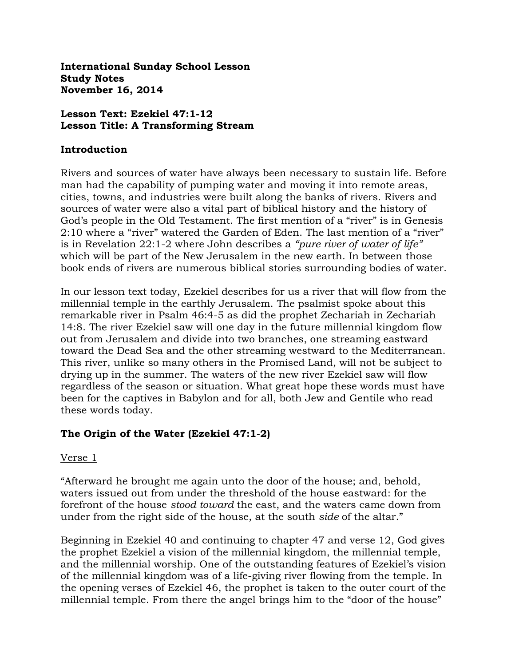**International Sunday School Lesson Study Notes November 16, 2014**

## **Lesson Text: Ezekiel 47:1-12 Lesson Title: A Transforming Stream**

### **Introduction**

Rivers and sources of water have always been necessary to sustain life. Before man had the capability of pumping water and moving it into remote areas, cities, towns, and industries were built along the banks of rivers. Rivers and sources of water were also a vital part of biblical history and the history of God's people in the Old Testament. The first mention of a "river" is in Genesis 2:10 where a "river" watered the Garden of Eden. The last mention of a "river" is in Revelation 22:1-2 where John describes a *"pure river of water of life"* which will be part of the New Jerusalem in the new earth. In between those book ends of rivers are numerous biblical stories surrounding bodies of water.

In our lesson text today, Ezekiel describes for us a river that will flow from the millennial temple in the earthly Jerusalem. The psalmist spoke about this remarkable river in Psalm 46:4-5 as did the prophet Zechariah in Zechariah 14:8. The river Ezekiel saw will one day in the future millennial kingdom flow out from Jerusalem and divide into two branches, one streaming eastward toward the Dead Sea and the other streaming westward to the Mediterranean. This river, unlike so many others in the Promised Land, will not be subject to drying up in the summer. The waters of the new river Ezekiel saw will flow regardless of the season or situation. What great hope these words must have been for the captives in Babylon and for all, both Jew and Gentile who read these words today.

# **The Origin of the Water (Ezekiel 47:1-2)**

### Verse 1

"Afterward he brought me again unto the door of the house; and, behold, waters issued out from under the threshold of the house eastward: for the forefront of the house *stood toward* the east, and the waters came down from under from the right side of the house, at the south *side* of the altar."

Beginning in Ezekiel 40 and continuing to chapter 47 and verse 12, God gives the prophet Ezekiel a vision of the millennial kingdom, the millennial temple, and the millennial worship. One of the outstanding features of Ezekiel's vision of the millennial kingdom was of a life-giving river flowing from the temple. In the opening verses of Ezekiel 46, the prophet is taken to the outer court of the millennial temple. From there the angel brings him to the "door of the house"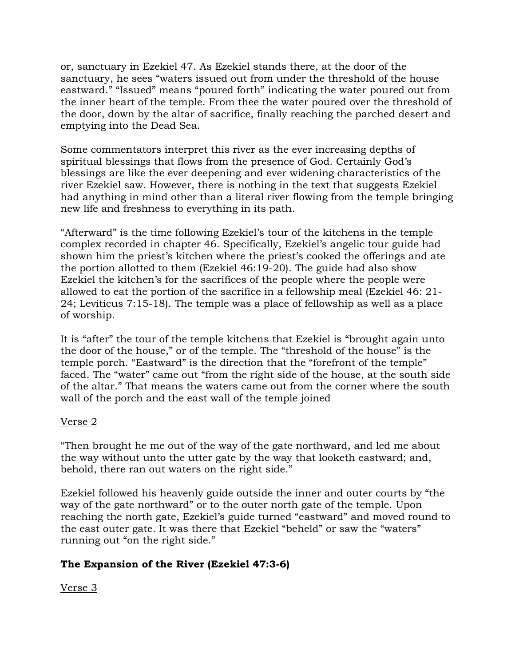or, sanctuary in Ezekiel 47. As Ezekiel stands there, at the door of the sanctuary, he sees "waters issued out from under the threshold of the house eastward." "Issued" means "poured forth" indicating the water poured out from the inner heart of the temple. From thee the water poured over the threshold of the door, down by the altar of sacrifice, finally reaching the parched desert and emptying into the Dead Sea.

Some commentators interpret this river as the ever increasing depths of spiritual blessings that flows from the presence of God. Certainly God's blessings are like the ever deepening and ever widening characteristics of the river Ezekiel saw. However, there is nothing in the text that suggests Ezekiel had anything in mind other than a literal river flowing from the temple bringing new life and freshness to everything in its path.

"Afterward" is the time following Ezekiel's tour of the kitchens in the temple complex recorded in chapter 46. Specifically, Ezekiel's angelic tour guide had shown him the priest's kitchen where the priest's cooked the offerings and ate the portion allotted to them (Ezekiel 46:19-20). The guide had also show Ezekiel the kitchen's for the sacrifices of the people where the people were allowed to eat the portion of the sacrifice in a fellowship meal (Ezekiel 46: 21- 24; Leviticus 7:15-18). The temple was a place of fellowship as well as a place of worship.

It is "after" the tour of the temple kitchens that Ezekiel is "brought again unto the door of the house," or of the temple. The "threshold of the house" is the temple porch. "Eastward" is the direction that the "forefront of the temple" faced. The "water" came out "from the right side of the house, at the south side of the altar." That means the waters came out from the corner where the south wall of the porch and the east wall of the temple joined

### Verse 2

"Then brought he me out of the way of the gate northward, and led me about the way without unto the utter gate by the way that looketh eastward; and, behold, there ran out waters on the right side."

Ezekiel followed his heavenly guide outside the inner and outer courts by "the way of the gate northward" or to the outer north gate of the temple. Upon reaching the north gate, Ezekiel's guide turned "eastward" and moved round to the east outer gate. It was there that Ezekiel "beheld" or saw the "waters" running out "on the right side."

# **The Expansion of the River (Ezekiel 47:3-6)**

Verse 3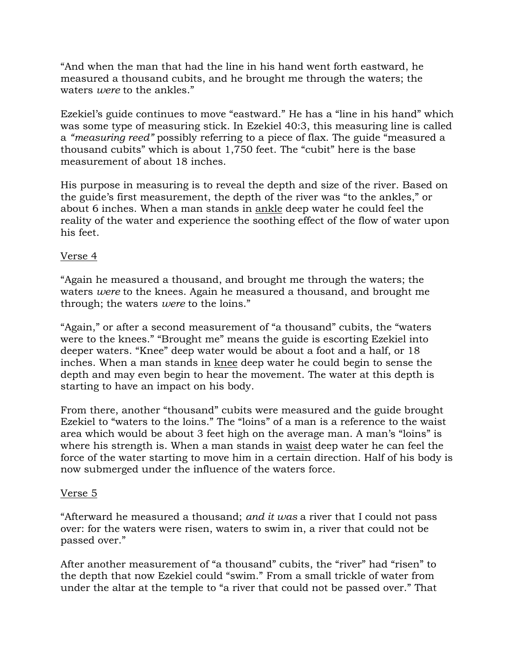"And when the man that had the line in his hand went forth eastward, he measured a thousand cubits, and he brought me through the waters; the waters *were* to the ankles."

Ezekiel's guide continues to move "eastward." He has a "line in his hand" which was some type of measuring stick. In Ezekiel 40:3, this measuring line is called a *"measuring reed"* possibly referring to a piece of flax. The guide "measured a thousand cubits" which is about 1,750 feet. The "cubit" here is the base measurement of about 18 inches.

His purpose in measuring is to reveal the depth and size of the river. Based on the guide's first measurement, the depth of the river was "to the ankles," or about 6 inches. When a man stands in ankle deep water he could feel the reality of the water and experience the soothing effect of the flow of water upon his feet.

# Verse 4

"Again he measured a thousand, and brought me through the waters; the waters *were* to the knees. Again he measured a thousand, and brought me through; the waters *were* to the loins."

"Again," or after a second measurement of "a thousand" cubits, the "waters were to the knees." "Brought me" means the guide is escorting Ezekiel into deeper waters. "Knee" deep water would be about a foot and a half, or 18 inches. When a man stands in knee deep water he could begin to sense the depth and may even begin to hear the movement. The water at this depth is starting to have an impact on his body.

From there, another "thousand" cubits were measured and the guide brought Ezekiel to "waters to the loins." The "loins" of a man is a reference to the waist area which would be about 3 feet high on the average man. A man's "loins" is where his strength is. When a man stands in waist deep water he can feel the force of the water starting to move him in a certain direction. Half of his body is now submerged under the influence of the waters force.

### Verse 5

"Afterward he measured a thousand; *and it was* a river that I could not pass over: for the waters were risen, waters to swim in, a river that could not be passed over."

After another measurement of "a thousand" cubits, the "river" had "risen" to the depth that now Ezekiel could "swim." From a small trickle of water from under the altar at the temple to "a river that could not be passed over." That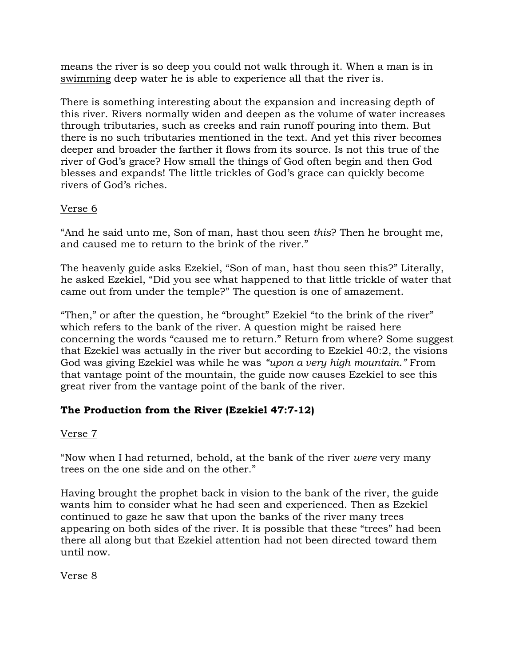means the river is so deep you could not walk through it. When a man is in swimming deep water he is able to experience all that the river is.

There is something interesting about the expansion and increasing depth of this river. Rivers normally widen and deepen as the volume of water increases through tributaries, such as creeks and rain runoff pouring into them. But there is no such tributaries mentioned in the text. And yet this river becomes deeper and broader the farther it flows from its source. Is not this true of the river of God's grace? How small the things of God often begin and then God blesses and expands! The little trickles of God's grace can quickly become rivers of God's riches.

# Verse 6

"And he said unto me, Son of man, hast thou seen *this*? Then he brought me, and caused me to return to the brink of the river."

The heavenly guide asks Ezekiel, "Son of man, hast thou seen this?" Literally, he asked Ezekiel, "Did you see what happened to that little trickle of water that came out from under the temple?" The question is one of amazement.

"Then," or after the question, he "brought" Ezekiel "to the brink of the river" which refers to the bank of the river. A question might be raised here concerning the words "caused me to return." Return from where? Some suggest that Ezekiel was actually in the river but according to Ezekiel 40:2, the visions God was giving Ezekiel was while he was *"upon a very high mountain."* From that vantage point of the mountain, the guide now causes Ezekiel to see this great river from the vantage point of the bank of the river.

# **The Production from the River (Ezekiel 47:7-12)**

# Verse 7

"Now when I had returned, behold, at the bank of the river *were* very many trees on the one side and on the other."

Having brought the prophet back in vision to the bank of the river, the guide wants him to consider what he had seen and experienced. Then as Ezekiel continued to gaze he saw that upon the banks of the river many trees appearing on both sides of the river. It is possible that these "trees" had been there all along but that Ezekiel attention had not been directed toward them until now.

Verse 8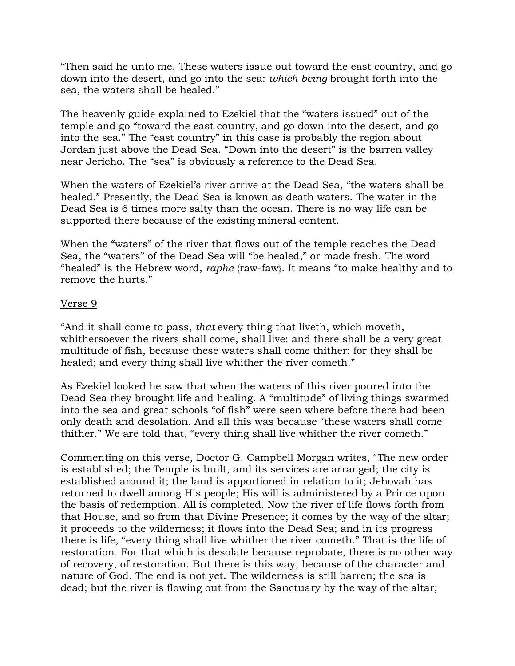"Then said he unto me, These waters issue out toward the east country, and go down into the desert, and go into the sea: *which being* brought forth into the sea, the waters shall be healed."

The heavenly guide explained to Ezekiel that the "waters issued" out of the temple and go "toward the east country, and go down into the desert, and go into the sea." The "east country" in this case is probably the region about Jordan just above the Dead Sea. "Down into the desert" is the barren valley near Jericho. The "sea" is obviously a reference to the Dead Sea.

When the waters of Ezekiel's river arrive at the Dead Sea, "the waters shall be healed." Presently, the Dead Sea is known as death waters. The water in the Dead Sea is 6 times more salty than the ocean. There is no way life can be supported there because of the existing mineral content.

When the "waters" of the river that flows out of the temple reaches the Dead Sea, the "waters" of the Dead Sea will "be healed," or made fresh. The word "healed" is the Hebrew word, *raphe* {raw-faw}. It means "to make healthy and to remove the hurts."

### Verse 9

"And it shall come to pass, *that* every thing that liveth, which moveth, whithersoever the rivers shall come, shall live: and there shall be a very great multitude of fish, because these waters shall come thither: for they shall be healed; and every thing shall live whither the river cometh."

As Ezekiel looked he saw that when the waters of this river poured into the Dead Sea they brought life and healing. A "multitude" of living things swarmed into the sea and great schools "of fish" were seen where before there had been only death and desolation. And all this was because "these waters shall come thither." We are told that, "every thing shall live whither the river cometh."

Commenting on this verse, Doctor G. Campbell Morgan writes, "The new order is established; the Temple is built, and its services are arranged; the city is established around it; the land is apportioned in relation to it; Jehovah has returned to dwell among His people; His will is administered by a Prince upon the basis of redemption. All is completed. Now the river of life flows forth from that House, and so from that Divine Presence; it comes by the way of the altar; it proceeds to the wilderness; it flows into the Dead Sea; and in its progress there is life, "every thing shall live whither the river cometh." That is the life of restoration. For that which is desolate because reprobate, there is no other way of recovery, of restoration. But there is this way, because of the character and nature of God. The end is not yet. The wilderness is still barren; the sea is dead; but the river is flowing out from the Sanctuary by the way of the altar;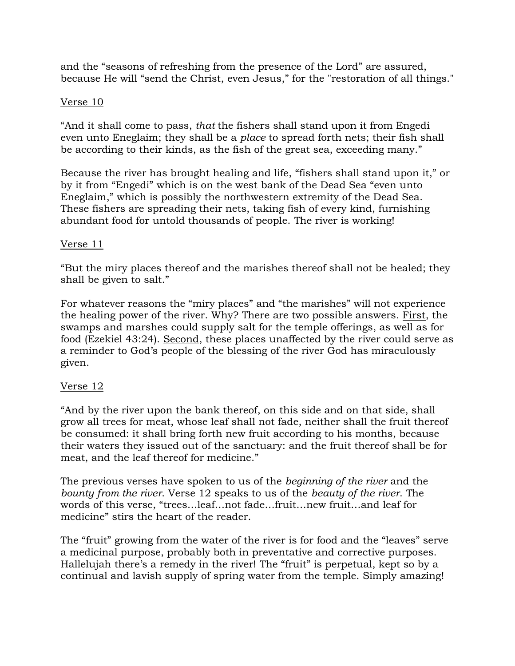and the "seasons of refreshing from the presence of the Lord" are assured, because He will "send the Christ, even Jesus," for the "restoration of all things."

## Verse 10

"And it shall come to pass, *that* the fishers shall stand upon it from Engedi even unto Eneglaim; they shall be a *place* to spread forth nets; their fish shall be according to their kinds, as the fish of the great sea, exceeding many."

Because the river has brought healing and life, "fishers shall stand upon it," or by it from "Engedi" which is on the west bank of the Dead Sea "even unto Eneglaim," which is possibly the northwestern extremity of the Dead Sea. These fishers are spreading their nets, taking fish of every kind, furnishing abundant food for untold thousands of people. The river is working!

## Verse 11

"But the miry places thereof and the marishes thereof shall not be healed; they shall be given to salt."

For whatever reasons the "miry places" and "the marishes" will not experience the healing power of the river. Why? There are two possible answers. First, the swamps and marshes could supply salt for the temple offerings, as well as for food (Ezekiel 43:24). Second, these places unaffected by the river could serve as a reminder to God's people of the blessing of the river God has miraculously given.

# Verse 12

"And by the river upon the bank thereof, on this side and on that side, shall grow all trees for meat, whose leaf shall not fade, neither shall the fruit thereof be consumed: it shall bring forth new fruit according to his months, because their waters they issued out of the sanctuary: and the fruit thereof shall be for meat, and the leaf thereof for medicine."

The previous verses have spoken to us of the *beginning of the river* and the *bounty from the river*. Verse 12 speaks to us of the *beauty of the river*. The words of this verse, "trees…leaf…not fade…fruit…new fruit…and leaf for medicine" stirs the heart of the reader.

The "fruit" growing from the water of the river is for food and the "leaves" serve a medicinal purpose, probably both in preventative and corrective purposes. Hallelujah there's a remedy in the river! The "fruit" is perpetual, kept so by a continual and lavish supply of spring water from the temple. Simply amazing!